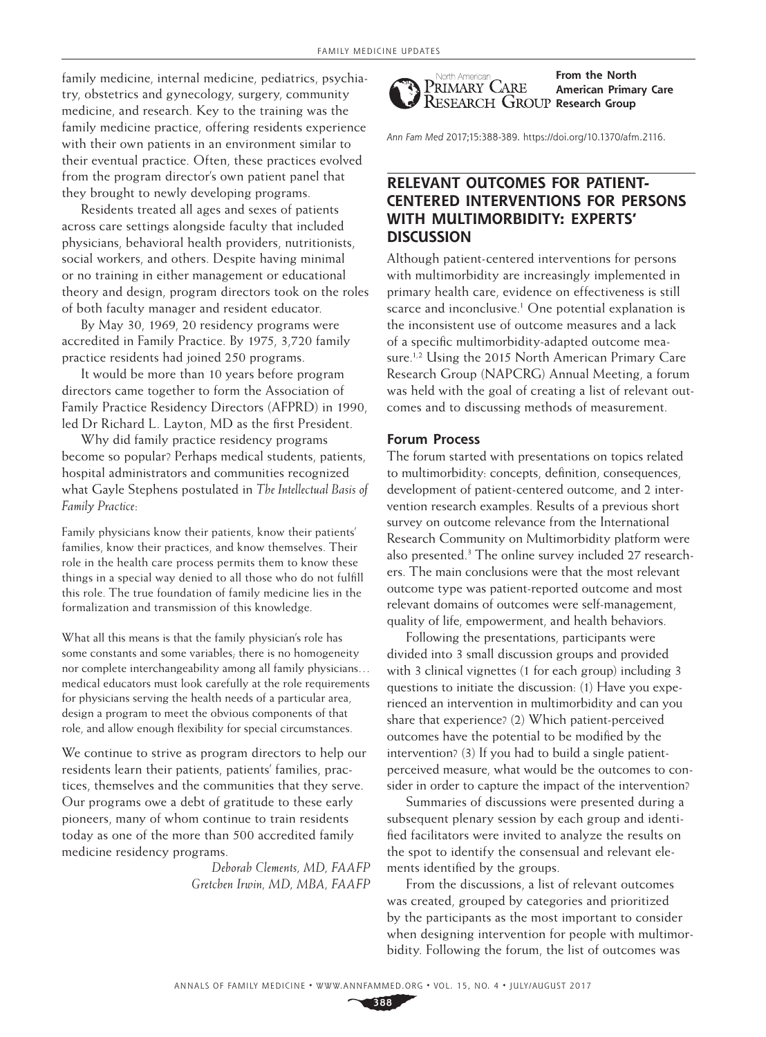family medicine, internal medicine, pediatrics, psychiatry, obstetrics and gynecology, surgery, community medicine, and research. Key to the training was the family medicine practice, offering residents experience with their own patients in an environment similar to their eventual practice. Often, these practices evolved from the program director's own patient panel that they brought to newly developing programs.

Residents treated all ages and sexes of patients across care settings alongside faculty that included physicians, behavioral health providers, nutritionists, social workers, and others. Despite having minimal or no training in either management or educational theory and design, program directors took on the roles of both faculty manager and resident educator.

By May 30, 1969, 20 residency programs were accredited in Family Practice. By 1975, 3,720 family practice residents had joined 250 programs.

It would be more than 10 years before program directors came together to form the Association of Family Practice Residency Directors (AFPRD) in 1990, led Dr Richard L. Layton, MD as the first President.

Why did family practice residency programs become so popular? Perhaps medical students, patients, hospital administrators and communities recognized what Gayle Stephens postulated in *The Intellectual Basis of Family Practice*:

Family physicians know their patients, know their patients' families, know their practices, and know themselves. Their role in the health care process permits them to know these things in a special way denied to all those who do not fulfill this role. The true foundation of family medicine lies in the formalization and transmission of this knowledge.

What all this means is that the family physician's role has some constants and some variables; there is no homogeneity nor complete interchangeability among all family physicians… medical educators must look carefully at the role requirements for physicians serving the health needs of a particular area, design a program to meet the obvious components of that role, and allow enough flexibility for special circumstances.

We continue to strive as program directors to help our residents learn their patients, patients' families, practices, themselves and the communities that they serve. Our programs owe a debt of gratitude to these early pioneers, many of whom continue to train residents today as one of the more than 500 accredited family medicine residency programs.

> *Deborah Clements, MD, FAAFP Gretchen Irwin, MD, MBA, FAAFP*



**From the North American Primary Care RESEARCH GROUP Research Group** 

*Ann Fam Med* 2017;15:388-389.<https://doi.org/10.1370/afm.2116>.

## **RELEVANT OUTCOMES FOR PATIENT-CENTERED INTERVENTIONS FOR PERSONS WITH MULTIMORBIDITY: EXPERTS' DISCUSSION**

Although patient-centered interventions for persons with multimorbidity are increasingly implemented in primary health care, evidence on effectiveness is still scarce and inconclusive.<sup>1</sup> One potential explanation is the inconsistent use of outcome measures and a lack of a specific multimorbidity-adapted outcome measure.<sup>1,2</sup> Using the 2015 North American Primary Care Research Group (NAPCRG) Annual Meeting, a forum was held with the goal of creating a list of relevant outcomes and to discussing methods of measurement.

#### **Forum Process**

The forum started with presentations on topics related to multimorbidity: concepts, definition, consequences, development of patient-centered outcome, and 2 intervention research examples. Results of a previous short survey on outcome relevance from the International Research Community on Multimorbidity platform were also presented.<sup>3</sup> The online survey included 27 researchers. The main conclusions were that the most relevant outcome type was patient-reported outcome and most relevant domains of outcomes were self-management, quality of life, empowerment, and health behaviors.

Following the presentations, participants were divided into 3 small discussion groups and provided with 3 clinical vignettes (1 for each group) including 3 questions to initiate the discussion: (1) Have you experienced an intervention in multimorbidity and can you share that experience? (2) Which patient-perceived outcomes have the potential to be modified by the intervention? (3) If you had to build a single patientperceived measure, what would be the outcomes to consider in order to capture the impact of the intervention?

Summaries of discussions were presented during a subsequent plenary session by each group and identified facilitators were invited to analyze the results on the spot to identify the consensual and relevant elements identified by the groups.

From the discussions, a list of relevant outcomes was created, grouped by categories and prioritized by the participants as the most important to consider when designing intervention for people with multimorbidity. Following the forum, the list of outcomes was

**388**